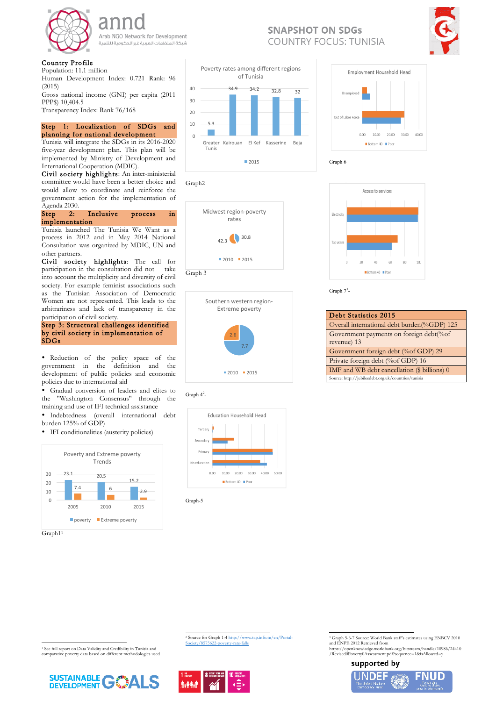

## Arab NGO Network for Development

شبكة المنظمات العربية غير الحكومية للتنمية

#### Country Profile

Population: 11.1 million Human Development Index: 0.721 Rank: 96 (2015) Gross national income (GNI) per capita (2011 PPP\$) 10,404.5 Transparency Index: Rank 76/168

#### Step 1: Localization of SDGs and planning for national development

Tunisia will integrate the SDGs in its 2016-2020 five-year development plan. This plan will be implemented by Ministry of Development and International Cooperation (MDIC).

Civil society highlights: An inter-ministerial committee would have been a better choice and would allow to coordinate and reinforce the government action for the implementation of Agenda 2030.

#### Step 2: Inclusive process in implementation

Tunisia launched The Tunisia We Want as a process in 2012 and in May 2014 National Consultation was organized by MDIC, UN and other partners.

Civil society highlights: The call for participation in the consultation did not take into account the multiplicity and diversity of civil society. For example feminist associations such as the Tunisian Association of Democratic Women are not represented. This leads to the arbitrariness and lack of transparency in the participation of civil society.



 $^3$  Graph 5-6-7 Source: World Bank staff's estimates using ENBCV 2010  $\,$ and ENPE 2012 Retrieved from

• Reduction of the policy space of the government in the definition and the development of public policies and economic policies due to international aid

• Gradual conversion of leaders and elites to the "Washington Consensus" through the training and use of IFI technical assistance

• Indebtedness (overall international debt burden 125% of GDP)

• IFI conditionalities (austerity policies)

<u> 1989 - Johann Stein, fransk politik (d. 1989)</u>





Graph2



Graph-5

Graph<sup>11</sup>

<sup>2</sup> Source for Graph 1-4 http://www.tap.info.tn/en/Portal-Society/8575622-poverty-rate-falls

<u> 1989 - Jan Samuel Barbara, margaret e</u>





Graph  $7^3$ -

| Debt Statistics 2015                                |
|-----------------------------------------------------|
| Overall international debt burden(%GDP) 125         |
| Government payments on foreign debt(%of             |
| revenue) 13                                         |
| Government foreign debt (%of GDP) 29                |
| Private foreign debt (%of GDP) 16                   |
| IMF and WB debt cancellation (\$ billions) 0        |
| Source: http://jubileedebt.org.uk/countries/tunisia |

![](_page_0_Figure_25.jpeg)

https://openknowledge.worldbank.org/bitstream/handle/10986/24410 /Revised0Poverty0Assessment.pdf?sequence=1&isAllowed=y

#### supported by

<u> 1989 - Jan Samuel Barbara, margaret e</u>

![](_page_0_Picture_35.jpeg)

![](_page_0_Figure_16.jpeg)

![](_page_0_Figure_17.jpeg)

# **COUNTRY FOCUS: TUNISIA**

**SNAPSHOT ON SDGS** 

![](_page_0_Picture_19.jpeg)

![](_page_0_Figure_20.jpeg)

![](_page_0_Figure_26.jpeg)

#### Graph  $4^2$ -

<sup>1</sup> See full report on Data Validity and Credibility in Tunisia and comparative poverty data based on different methodologies used